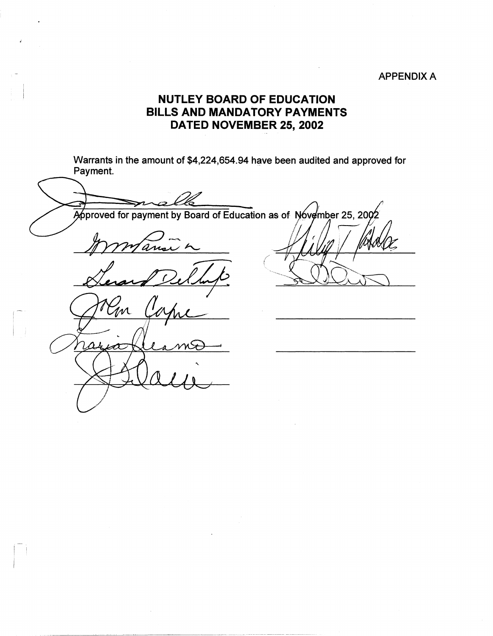## APPENDIX A

## **NUTLEY BOARD OF EDUCATION BILLS AND MANDATORY PAYMENTS DATED NOVEMBER 25, 2002**

Warrants in the amount of \$4,224,654.94 have been audited and approved for Payment.

----Approved for payment by Board of Education as of November 25, 2002 ans M  $\Delta t$ Æ

I :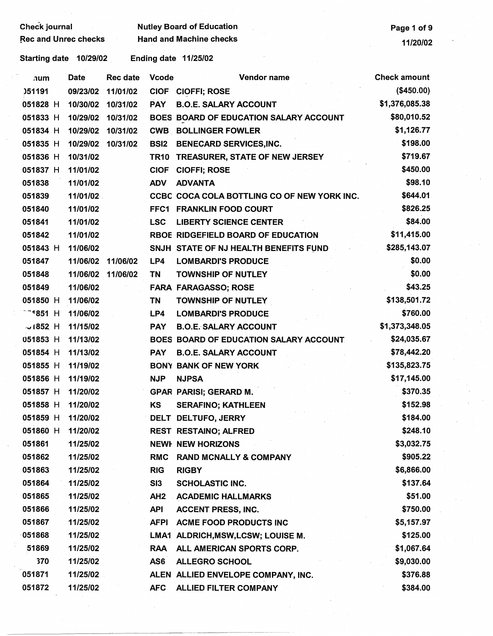Check journal Mutley Board of Education<br>Rec and Unrec checks Hand and Machine checks Page 1 of 9  $\begin{array}{c}\n\text{Hand and Machine checks}\n\\
\text{11/20/02}\n\end{array}$ 

| $\lambda$ um         | <b>Date</b> | <b>Rec date</b> | <b>Vcode</b>    | Vendor name                                 | <b>Check amount</b> |
|----------------------|-------------|-----------------|-----------------|---------------------------------------------|---------------------|
| 051191               | 09/23/02    | 11/01/02        | <b>CIOF</b>     | <b>CIOFFI; ROSE</b>                         | (\$450.00)          |
| 051828 H             | 10/30/02    | 10/31/02        | <b>PAY</b>      | <b>B.O.E. SALARY ACCOUNT</b>                | \$1,376,085.38      |
| 051833 H             | 10/29/02    | 10/31/02        |                 | BOES BOARD OF EDUCATION SALARY ACCOUNT      | \$80,010.52         |
| 051834 H             | 10/29/02    | 10/31/02        |                 | <b>CWB BOLLINGER FOWLER</b>                 | \$1,126.77          |
| 051835 H             | 10/29/02    | 10/31/02        | <b>BSI2</b>     | <b>BENECARD SERVICES, INC.</b>              | \$198.00            |
| 051836 H             | 10/31/02    |                 | <b>TR10</b>     | TREASURER, STATE OF NEW JERSEY              | \$719.67            |
| 051837 H             | 11/01/02    |                 | <b>CIOF</b>     | <b>CIOFFI; ROSE</b>                         | \$450.00            |
| 051838               | 11/01/02    |                 | <b>ADV</b>      | <b>ADVANTA</b>                              | \$98.10             |
| 051839               | 11/01/02    |                 |                 | CCBC COCA COLA BOTTLING CO OF NEW YORK INC. | \$644.01            |
| 051840               | 11/01/02    |                 |                 | FFC1 FRANKLIN FOOD COURT                    | \$826.25            |
| 051841               | 11/01/02    |                 | <b>LSC</b>      | <b>LIBERTY SCIENCE CENTER</b>               | \$84.00             |
| 051842               | 11/01/02    |                 |                 | RBOE RIDGEFIELD BOARD OF EDUCATION          | \$11,415.00         |
| 051843 H             | 11/06/02    |                 |                 | SNJH STATE OF NJ HEALTH BENEFITS FUND       | \$285,143.07        |
| 051847               | 11/06/02    | 11/06/02        | LP4             | <b>LOMBARDI'S PRODUCE</b>                   | \$0.00              |
| 051848               | 11/06/02    | 11/06/02        | TN              | <b>TOWNSHIP OF NUTLEY</b>                   | \$0.00              |
| 051849               | 11/06/02    |                 |                 | <b>FARA FARAGASSO; ROSE</b>                 | \$43.25             |
| 051850 H             | 11/06/02    |                 | TN              | <b>TOWNSHIP OF NUTLEY</b>                   | \$138,501.72        |
| <sup>−−1</sup> 851 H | 11/06/02    |                 | LP4             | <b>LOMBARDI'S PRODUCE</b>                   | \$760.00            |
| $\sim$ 1852 H        | 11/15/02    |                 | <b>PAY</b>      | <b>B.O.E. SALARY ACCOUNT</b>                | \$1,373,348.05      |
| 051853 H             | 11/13/02    |                 |                 | BOES BOARD OF EDUCATION SALARY ACCOUNT      | \$24,035.67         |
| 051854 H             | 11/13/02    |                 | <b>PAY</b>      | <b>B.O.E. SALARY ACCOUNT</b>                | \$78,442.20         |
| 051855 H             | 11/19/02    |                 |                 | <b>BONY BANK OF NEW YORK</b>                | \$135,823.75        |
| 051856 H             | 11/19/02    |                 | <b>NJP</b>      | <b>NJPSA</b>                                | \$17,145.00         |
| 051857 H             | 11/20/02    |                 |                 | <b>GPAR PARISI; GERARD M.</b>               | \$370.35            |
| 051858 H             | 11/20/02    |                 | KS              | <b>SERAFINO; KATHLEEN</b>                   | \$152.98            |
| 051859 H             | 11/20/02    |                 |                 | DELT DELTUFO, JERRY                         | \$184.00            |
| 051860 H             | 11/20/02    |                 |                 | <b>REST RESTAINO; ALFRED</b>                | \$248.10            |
| 051861               | 11/25/02    |                 |                 | <b>NEWI NEW HORIZONS</b>                    | \$3,032.75          |
| 051862               | 11/25/02    |                 | <b>RMC</b>      | <b>RAND MCNALLY &amp; COMPANY</b>           | \$905.22            |
| 051863               | 11/25/02    |                 | <b>RIG</b>      | <b>RIGBY</b>                                | \$6,866.00          |
| 051864               | 11/25/02    |                 | SI3             | <b>SCHOLASTIC INC.</b>                      | \$137.64            |
| 051865               | 11/25/02    |                 | AH <sub>2</sub> | <b>ACADEMIC HALLMARKS</b>                   | \$51.00             |
| 051866               | 11/25/02    |                 | <b>API</b>      | <b>ACCENT PRESS, INC.</b>                   | \$750.00            |
| 051867               | 11/25/02    |                 | <b>AFPI</b>     | <b>ACME FOOD PRODUCTS INC</b>               | \$5,157.97          |
| 051868               | 11/25/02    |                 |                 | LMA1 ALDRICH, MSW, LCSW; LOUISE M.          | \$125.00            |
| 51869                | 11/25/02    |                 | <b>RAA</b>      | ALL AMERICAN SPORTS CORP.                   | \$1,067.64          |
| 370                  | 11/25/02    |                 | AS6             | <b>ALLEGRO SCHOOL</b>                       | \$9,030.00          |
| 051871               | 11/25/02    |                 |                 | ALEN ALLIED ENVELOPE COMPANY, INC.          | \$376.88            |
| 051872               | 11/25/02    |                 | <b>AFC</b>      | <b>ALLIED FILTER COMPANY</b>                | \$384.00            |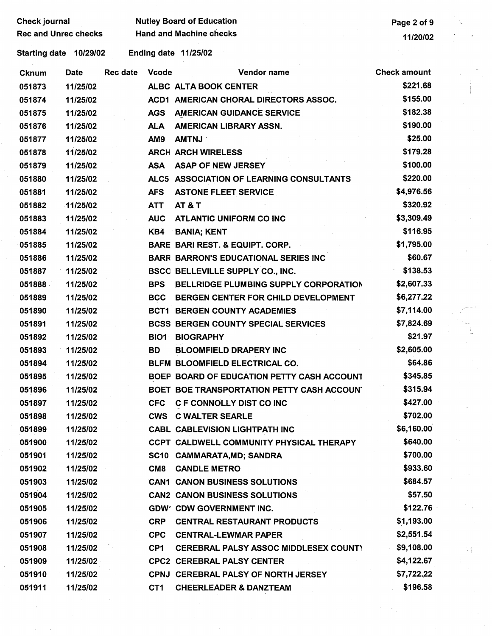| Check journal |                             |          |              | <b>Nutley Board of Education</b>             | Page 2 of 9         |   |
|---------------|-----------------------------|----------|--------------|----------------------------------------------|---------------------|---|
|               | <b>Rec and Unrec checks</b> |          |              | <b>Hand and Machine checks</b>               | 11/20/02            |   |
|               | Starting date 10/29/02      |          |              | Ending date 11/25/02                         |                     |   |
| Cknum         | Date                        | Rec date | <b>Vcode</b> | Vendor name                                  | <b>Check amount</b> |   |
| 051873        | 11/25/02                    |          |              | ALBC ALTA BOOK CENTER                        | \$221.68            |   |
| 051874        | 11/25/02                    |          |              | ACD1 AMERICAN CHORAL DIRECTORS ASSOC.        | \$155.00            |   |
| 051875        | 11/25/02                    |          | <b>AGS</b>   | <b>AMERICAN GUIDANCE SERVICE</b>             | \$182.38            |   |
| 051876        | 11/25/02                    |          | <b>ALA</b>   | AMERICAN LIBRARY ASSN.                       | \$190.00            |   |
| 051877        | 11/25/02                    |          | AM9          | <b>AMTNJ</b>                                 | \$25.00             |   |
| 051878        | 11/25/02                    |          |              | <b>ARCH ARCH WIRELESS</b>                    | \$179.28            |   |
| 051879        | 11/25/02                    |          | <b>ASA</b>   | <b>ASAP OF NEW JERSEY</b>                    | \$100.00            |   |
| 051880        | 11/25/02                    |          |              | ALC5 ASSOCIATION OF LEARNING CONSULTANTS     | \$220.00            |   |
| 051881        | 11/25/02                    |          | <b>AFS</b>   | <b>ASTONE FLEET SERVICE</b>                  | \$4,976.56          |   |
| 051882        | 11/25/02                    |          | ATT          | <b>AT &amp; T</b>                            | \$320.92            |   |
| 051883        | 11/25/02                    |          | <b>AUC</b>   | <b>ATLANTIC UNIFORM CO INC</b>               | \$3,309.49          |   |
| 051884        | 11/25/02                    |          | KB4          | <b>BANIA; KENT</b>                           | \$116.95            |   |
| 051885        | 11/25/02                    |          |              | <b>BARE BARI REST. &amp; EQUIPT. CORP.</b>   | \$1,795.00          |   |
| 051886        | 11/25/02                    |          |              | <b>BARR BARRON'S EDUCATIONAL SERIES INC.</b> | \$60.67             |   |
| 051887        | 11/25/02                    |          |              | BSCC BELLEVILLE SUPPLY CO., INC.             | \$138.53            |   |
| 051888        | 11/25/02                    |          | <b>BPS</b>   | BELLRIDGE PLUMBING SUPPLY CORPORATION        | \$2,607.33          |   |
| 051889        | 11/25/02                    |          | <b>BCC</b>   | BERGEN CENTER FOR CHILD DEVELOPMENT          | \$6,277.22          |   |
| 051890        | 11/25/02                    |          |              | <b>BCT1 BERGEN COUNTY ACADEMIES</b>          | \$7,114.00          |   |
| 051891        | 11/25/02                    |          |              | <b>BCSS BERGEN COUNTY SPECIAL SERVICES</b>   | \$7,824.69          |   |
| 051892        | 11/25/02                    |          | BIO1         | <b>BIOGRAPHY</b>                             | \$21.97             |   |
| 051893        | 11/25/02                    |          | BD           | <b>BLOOMFIELD DRAPERY INC</b>                | \$2,605.00          |   |
| 051894        | 11/25/02                    |          |              | BLFM BLOOMFIELD ELECTRICAL CO.               | \$64.86             |   |
| 051895        | 11/25/02                    |          |              | BOEP BOARD OF EDUCATION PETTY CASH ACCOUNT   | \$345.85            |   |
| 051896        | 11/25/02                    |          |              | BOET BOE TRANSPORTATION PETTY CASH ACCOUN'   | \$315.94            |   |
| 051897        | 11/25/02                    |          |              | CFC C F CONNOLLY DIST CO INC                 | \$427.00            |   |
| 051898        | 11/25/02                    |          |              | <b>CWS C WALTER SEARLE</b>                   | \$702.00            |   |
| 051899        | 11/25/02                    |          |              | <b>CABL CABLEVISION LIGHTPATH INC.</b>       | \$6,160.00          |   |
| 051900        | 11/25/02                    |          |              | CCPT CALDWELL COMMUNITY PHYSICAL THERAPY     | \$640.00            |   |
| 051901        | 11/25/02                    |          |              | SC10 CAMMARATA, MD; SANDRA                   | \$700.00            |   |
| 051902        | 11/25/02                    |          | CM8          | <b>CANDLE METRO</b>                          | \$933.60            |   |
| 051903        | 11/25/02                    |          |              | <b>CAN1 CANON BUSINESS SOLUTIONS</b>         | \$684.57            |   |
| 051904        | 11/25/02                    |          |              | <b>CAN2 CANON BUSINESS SOLUTIONS</b>         | \$57.50             |   |
| 051905        | 11/25/02                    |          |              | <b>GDW' CDW GOVERNMENT INC.</b>              | \$122.76            |   |
| 051906        | 11/25/02                    |          | CRP          | <b>CENTRAL RESTAURANT PRODUCTS</b>           | \$1,193.00          |   |
| 051907        | 11/25/02                    |          | <b>CPC</b>   | <b>CENTRAL-LEWMAR PAPER</b>                  | \$2,551.54          |   |
| 051908        | 11/25/02                    |          | CP1          | <b>CEREBRAL PALSY ASSOC MIDDLESEX COUNT)</b> | \$9,108.00          | H |
| 051909        | 11/25/02                    |          |              | <b>CPC2 CEREBRAL PALSY CENTER</b>            | \$4,122.67          |   |
| 051910        | 11/25/02                    |          |              | CPNJ CEREBRAL PALSY OF NORTH JERSEY          | \$7,722.22          |   |
| 051911        | 11/25/02                    |          | CT1          | <b>CHEERLEADER &amp; DANZTEAM</b>            | \$196.58            |   |

I

 $\frac{1}{2} \int_{0}^{2\pi} \frac{1}{\sqrt{2}} \, \mathrm{d} \theta \, \mathrm{d} \theta \, \mathrm{d} \theta \, \mathrm{d} \theta \, \mathrm{d} \theta \, \mathrm{d} \theta \, \mathrm{d} \theta \, \mathrm{d} \theta \, \mathrm{d} \theta \, \mathrm{d} \theta \, \mathrm{d} \theta \, \mathrm{d} \theta \, \mathrm{d} \theta \, \mathrm{d} \theta \, \mathrm{d} \theta \, \mathrm{d} \theta \, \mathrm{d} \theta \, \mathrm{d} \theta \, \mathrm{d} \theta \, \mathrm{d} \theta \, \mathrm{d} \theta \, \mathrm$ 

 $\label{eq:2} \frac{d\mathbf{r}}{dt} = \frac{d\mathbf{r}}{dt} \frac{d\mathbf{r}}{dt} \frac{d\mathbf{r}}{dt}$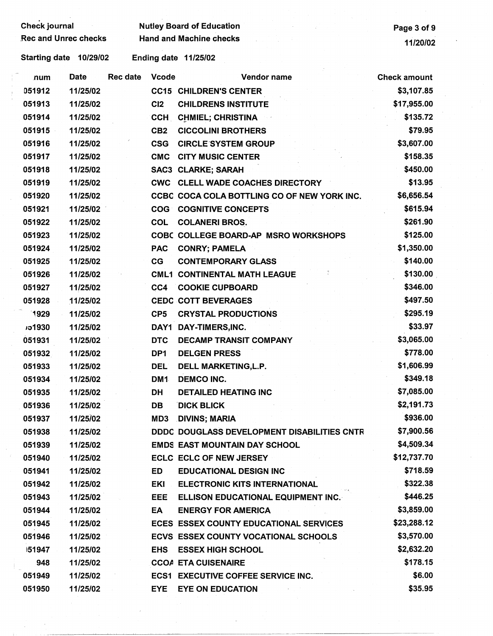| <b>Check journal</b><br><b>Rec and Unrec checks</b> |             |                 |                 | <b>Nutley Board of Education</b><br><b>Hand and Machine checks</b> | Page 3 of 9         |
|-----------------------------------------------------|-------------|-----------------|-----------------|--------------------------------------------------------------------|---------------------|
|                                                     |             |                 |                 |                                                                    | 11/20/02            |
| Starting date 10/29/02                              |             |                 |                 | Ending date 11/25/02                                               |                     |
| num                                                 | <b>Date</b> | <b>Rec date</b> | <b>Vcode</b>    | Vendor name                                                        | <b>Check amount</b> |
| 051912                                              | 11/25/02    |                 |                 | <b>CC15 CHILDREN'S CENTER</b>                                      | \$3,107.85          |
| 051913                                              | 11/25/02    |                 | C <sub>12</sub> | <b>CHILDRENS INSTITUTE</b>                                         | \$17,955.00         |
| 051914                                              | 11/25/02    |                 | <b>CCH</b>      | <b>CHMIEL; CHRISTINA</b>                                           | \$135.72            |
| 051915                                              | 11/25/02    |                 | CB <sub>2</sub> | <b>CICCOLINI BROTHERS</b>                                          | \$79.95             |
| 051916                                              | 11/25/02    |                 | <b>CSG</b>      | <b>CIRCLE SYSTEM GROUP</b>                                         | \$3,607.00          |
| 051917                                              | 11/25/02    |                 | <b>CMC</b>      | <b>CITY MUSIC CENTER</b>                                           | \$158.35            |
| 051918                                              | 11/25/02    |                 |                 | <b>SAC3 CLARKE; SARAH</b>                                          | \$450.00            |
| 051919                                              | 11/25/02    |                 |                 | <b>CWC CLELL WADE COACHES DIRECTORY</b>                            | \$13.95             |
| 051920                                              | 11/25/02    |                 |                 | CCBC COCA COLA BOTTLING CO OF NEW YORK INC.                        | \$6,656.54          |
| 051921                                              | 11/25/02    |                 |                 | <b>COG COGNITIVE CONCEPTS</b>                                      | \$615.94            |
| 051922                                              | 11/25/02    |                 | <b>COL</b>      | <b>COLANERI BROS.</b>                                              | \$261.90            |
| 051923                                              | 11/25/02    |                 |                 | <b>COBC COLLEGE BOARD-AP MSRO WORKSHOPS</b>                        | \$125.00            |
| 051924                                              | 11/25/02    |                 | <b>PAC</b>      | <b>CONRY; PAMELA</b>                                               | \$1,350.00          |
| 051925                                              | 11/25/02    |                 | CG              | <b>CONTEMPORARY GLASS</b>                                          | \$140.00            |
| 051926                                              | 11/25/02    |                 |                 | <b>CML1 CONTINENTAL MATH LEAGUE</b>                                | \$130.00            |
| 051927                                              | 11/25/02    |                 | CC4             | <b>COOKIE CUPBOARD</b>                                             | \$346.00            |
| 051928                                              | 11/25/02    |                 |                 | <b>CEDC COTT BEVERAGES</b>                                         | \$497.50            |
| 1929                                                | 11/25/02    |                 | CP <sub>5</sub> | <b>CRYSTAL PRODUCTIONS</b>                                         | \$295.19            |
| <b>1930</b>                                         | 11/25/02    |                 | DAY1            | DAY-TIMERS, INC.                                                   | \$33.97             |
| 051931                                              | 11/25/02    |                 | <b>DTC</b>      | <b>DECAMP TRANSIT COMPANY</b>                                      | \$3,065.00          |
| 051932                                              | 11/25/02    |                 | DP1             | <b>DELGEN PRESS</b>                                                | \$778.00            |
| 051933                                              | 11/25/02    |                 | <b>DEL</b>      | DELL MARKETING, L.P.                                               | \$1,606.99          |
| 051934                                              | 11/25/02    |                 | DM1             | <b>DEMCO INC.</b>                                                  | \$349.18            |
| 051935                                              | 11/25/02    |                 | DH              | <b>DETAILED HEATING INC</b>                                        | \$7,085.00          |
| 051936                                              | 11/25/02    |                 | DB              | <b>DICK BLICK</b>                                                  | \$2,191.73          |
| 051937                                              | 11/25/02    |                 | MD3             | <b>DIVINS; MARIA</b>                                               | \$936.00            |
| 051938                                              | 11/25/02    |                 |                 | DDDC DOUGLASS DEVELOPMENT DISABILITIES CNTR                        | \$7,900.56          |
| 051939                                              | 11/25/02    |                 |                 | <b>EMDS EAST MOUNTAIN DAY SCHOOL</b>                               | \$4,509.34          |
| 051940                                              | 11/25/02    |                 |                 | <b>ECLC ECLC OF NEW JERSEY</b>                                     | \$12,737.70         |
| 051941                                              | 11/25/02    |                 | ED              | <b>EDUCATIONAL DESIGN INC</b>                                      | \$718.59            |
| 051942                                              | 11/25/02    |                 | EKI             | <b>ELECTRONIC KITS INTERNATIONAL</b>                               | \$322.38            |
| 051943                                              | 11/25/02    |                 | EEE             | ELLISON EDUCATIONAL EQUIPMENT INC.                                 | \$446.25            |
| 051944                                              | 11/25/02    |                 | EA              | <b>ENERGY FOR AMERICA</b>                                          | \$3,859.00          |
| 051945                                              | 11/25/02    |                 |                 | ECES ESSEX COUNTY EDUCATIONAL SERVICES                             | \$23,288.12         |
| 051946                                              | 11/25/02    |                 |                 |                                                                    | \$3,570.00          |
|                                                     |             |                 |                 | ECVS ESSEX COUNTY VOCATIONAL SCHOOLS                               | \$2,632.20          |
| 151947                                              | 11/25/02    |                 | <b>EHS</b>      | <b>ESSEX HIGH SCHOOL</b>                                           | \$178.15            |
| 948                                                 | 11/25/02    |                 |                 | <b>CCOA ETA CUISENAIRE</b>                                         |                     |
| 051949                                              | 11/25/02    |                 |                 | <b>ECS1 EXECUTIVE COFFEE SERVICE INC.</b>                          | \$6.00              |
| 051950                                              | 11/25/02    |                 | <b>EYE</b>      | <b>EYE ON EDUCATION</b>                                            | \$35.95             |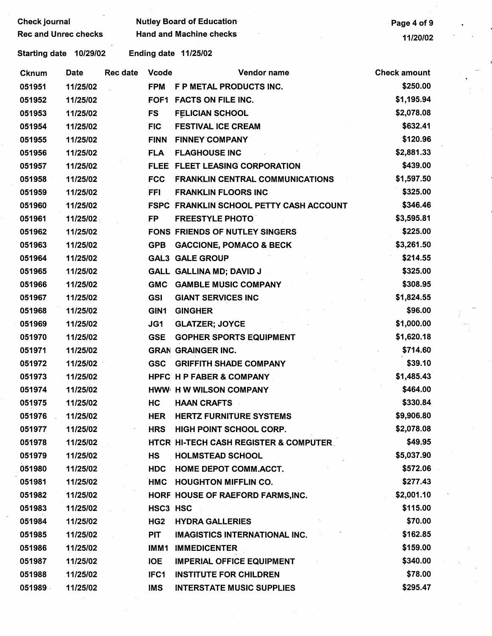| <b>Check journal</b>        |                        |                 |              | <b>Nutley Board of Education</b>                 | Page 4 of 9         |  |
|-----------------------------|------------------------|-----------------|--------------|--------------------------------------------------|---------------------|--|
| <b>Rec and Unrec checks</b> |                        |                 |              | <b>Hand and Machine checks</b>                   | 11/20/02            |  |
|                             | Starting date 10/29/02 |                 |              | Ending date 11/25/02                             |                     |  |
| <b>Cknum</b>                | <b>Date</b>            | <b>Rec date</b> | <b>Vcode</b> | Vendor name                                      | <b>Check amount</b> |  |
| 051951                      | 11/25/02               |                 | <b>FPM</b>   | F P METAL PRODUCTS INC.                          | \$250.00            |  |
| 051952                      | 11/25/02               |                 | FOF1         | <b>FACTS ON FILE INC.</b>                        | \$1,195.94          |  |
| 051953                      | 11/25/02               |                 | FS           | <b>FELICIAN SCHOOL</b>                           | \$2,078.08          |  |
| 051954                      | 11/25/02               |                 | <b>FIC</b>   | <b>FESTIVAL ICE CREAM</b>                        | \$632.41            |  |
| 051955                      | 11/25/02               |                 | <b>FINN</b>  | <b>FINNEY COMPANY</b>                            | \$120.96            |  |
| 051956                      | 11/25/02               |                 | <b>FLA</b>   | <b>FLAGHOUSE INC</b>                             | \$2,881.33          |  |
| 051957                      | 11/25/02               |                 |              | FLEE FLEET LEASING CORPORATION                   | \$439.00            |  |
| 051958                      | 11/25/02               |                 | <b>FCC</b>   | <b>FRANKLIN CENTRAL COMMUNICATIONS</b>           | \$1,597.50          |  |
| 051959                      | 11/25/02               |                 | <b>FFI</b>   | <b>FRANKLIN FLOORS INC.</b>                      | \$325.00            |  |
| 051960                      | 11/25/02               |                 |              | <b>FSPC FRANKLIN SCHOOL PETTY CASH ACCOUNT</b>   | \$346.46            |  |
| 051961                      | 11/25/02               |                 | <b>FP</b>    | <b>FREESTYLE PHOTO</b>                           | \$3,595.81          |  |
| 051962                      | 11/25/02               |                 |              | <b>FONS FRIENDS OF NUTLEY SINGERS</b>            | \$225.00            |  |
| 051963                      | 11/25/02               |                 | <b>GPB</b>   | <b>GACCIONE, POMACO &amp; BECK</b>               | \$3,261.50          |  |
| 051964                      | 11/25/02               |                 |              | <b>GAL3 GALE GROUP</b>                           | \$214.55            |  |
| 051965                      | 11/25/02               |                 |              | <b>GALL GALLINA MD; DAVID J</b>                  | \$325.00            |  |
| 051966                      | 11/25/02               |                 | <b>GMC</b>   | <b>GAMBLE MUSIC COMPANY</b>                      | \$308.95            |  |
| 051967                      | 11/25/02               |                 | <b>GSI</b>   | <b>GIANT SERVICES INC</b>                        | \$1,824.55          |  |
| 051968                      | 11/25/02               |                 | GIN1         | <b>GINGHER</b>                                   | \$96.00             |  |
| 051969                      | 11/25/02               |                 | JG1          | <b>GLATZER; JOYCE</b>                            | \$1,000.00          |  |
| 051970                      | 11/25/02               |                 | <b>GSE</b>   | <b>GOPHER SPORTS EQUIPMENT</b>                   | \$1,620.18          |  |
| 051971                      | 11/25/02               |                 |              | <b>GRAN GRAINGER INC.</b>                        | \$714.60            |  |
| 051972                      | 11/25/02               |                 |              | <b>GSC GRIFFITH SHADE COMPANY</b>                | \$39.10             |  |
| 051973                      | 11/25/02               |                 |              | <b>HPFC H P FABER &amp; COMPANY</b>              | \$1,485.43          |  |
| 051974                      | 11/25/02               |                 |              | HWW H W WILSON COMPANY                           | \$464.00            |  |
| 051975                      | 11/25/02               |                 | HC           | <b>HAAN CRAFTS</b>                               | \$330.84            |  |
| 051976                      | 11/25/02               |                 | HER          | <b>HERTZ FURNITURE SYSTEMS</b>                   | \$9,906.80          |  |
| 051977                      | 11/25/02               |                 |              | HRS HIGH POINT SCHOOL CORP.                      | \$2,078.08          |  |
| 051978                      | 11/25/02               |                 |              | <b>HTCR HI-TECH CASH REGISTER &amp; COMPUTER</b> | \$49.95             |  |
| 051979                      | 11/25/02               |                 | <b>HS</b>    | <b>HOLMSTEAD SCHOOL</b>                          | \$5,037.90          |  |
| 051980                      | 11/25/02               |                 | <b>HDC</b>   | <b>HOME DEPOT COMM.ACCT.</b>                     | \$572.06            |  |
| 051981                      | 11/25/02               |                 |              | HMC HOUGHTON MIFFLIN CO.                         | \$277.43            |  |
| 051982                      | 11/25/02               |                 |              | HORF HOUSE OF RAEFORD FARMS, INC.                | \$2,001.10          |  |
| 051983                      | 11/25/02               |                 | HSC3 HSC     |                                                  | \$115.00            |  |
| 051984                      | 11/25/02               |                 | HG2          | <b>HYDRA GALLERIES</b>                           | \$70.00             |  |
| 051985                      | 11/25/02               |                 | PIT          | <b>IMAGISTICS INTERNATIONAL INC.</b>             | \$162.85            |  |
| 051986                      | 11/25/02               |                 | IMM1         | <b>IMMEDICENTER</b>                              | \$159.00            |  |
| 051987                      | 11/25/02               |                 | <b>IOE</b>   | <b>IMPERIAL OFFICE EQUIPMENT</b>                 | \$340.00            |  |
| 051988                      | 11/25/02               |                 | IFC1         | <b>INSTITUTE FOR CHILDREN</b>                    | \$78.00             |  |
| 051989                      | 11/25/02               |                 | <b>IMS</b>   | <b>INTERSTATE MUSIC SUPPLIES</b>                 | \$295.47            |  |
|                             |                        |                 |              |                                                  |                     |  |
|                             |                        |                 |              |                                                  |                     |  |
|                             |                        |                 |              |                                                  |                     |  |

 $\frac{1}{\sqrt{2}}$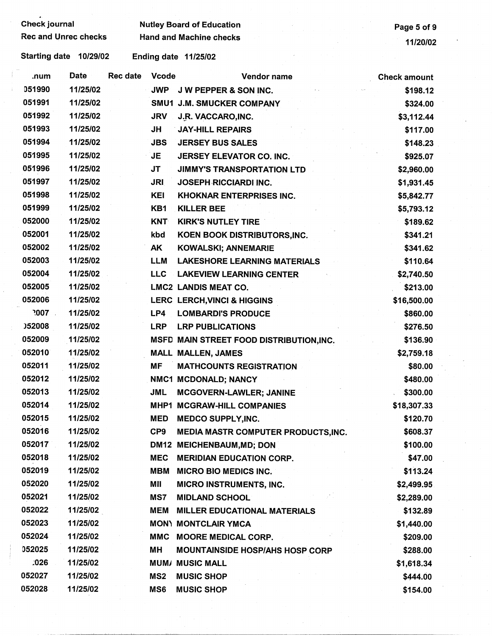Check journal **Check is a set of South Autre** Nutley Board of Education<br>
Rec and Unrec checks **Page 5 of 9**<br>
Rec and Unrec checks **Page 14/99/99** Rec and Machine checks **Hand and Machine checks** 11/20/02

| .num          | <b>Date</b> | <b>Rec date</b> | <b>Vcode</b>    | Vendor name                                | <b>Check amount</b> |
|---------------|-------------|-----------------|-----------------|--------------------------------------------|---------------------|
| 051990        | 11/25/02    |                 | <b>JWP</b>      | J W PEPPER & SON INC.                      | \$198.12            |
| 051991        | 11/25/02    |                 |                 | SMU1 J.M. SMUCKER COMPANY                  | \$324.00            |
| 051992        | 11/25/02    |                 | <b>JRV</b>      | J.R. VACCARO, INC.                         | \$3,112.44          |
| 051993        | 11/25/02    |                 | JH              | <b>JAY-HILL REPAIRS</b>                    | \$117.00            |
| 051994        | 11/25/02    |                 | <b>JBS</b>      | <b>JERSEY BUS SALES</b>                    | \$148.23            |
| 051995        | 11/25/02    |                 | JE              | JERSEY ELEVATOR CO. INC.                   | \$925.07            |
| 051996        | 11/25/02    |                 | JT              | <b>JIMMY'S TRANSPORTATION LTD</b>          | \$2,960.00          |
| 051997        | 11/25/02    |                 | <b>JRI</b>      | <b>JOSEPH RICCIARDI INC.</b>               | \$1,931.45          |
| 051998        | 11/25/02    |                 | <b>KEI</b>      | <b>KHOKNAR ENTERPRISES INC.</b>            | \$5,842.77          |
| 051999        | 11/25/02    |                 | KB1             | <b>KILLER BEE</b>                          | \$5,793.12          |
| 052000        | 11/25/02    |                 | <b>KNT</b>      | <b>KIRK'S NUTLEY TIRE</b>                  | \$189.62            |
| 052001        | 11/25/02    |                 | kbd             | KOEN BOOK DISTRIBUTORS, INC.               | \$341.21            |
| 052002        | 11/25/02    |                 | AK              | <b>KOWALSKI; ANNEMARIE</b>                 | \$341.62            |
| 052003        | 11/25/02    |                 | LLM             | <b>LAKESHORE LEARNING MATERIALS</b>        | \$110.64            |
| 052004        | 11/25/02    |                 | <b>LLC</b>      | <b>LAKEVIEW LEARNING CENTER</b>            | \$2,740.50          |
| 052005        | 11/25/02    |                 |                 | <b>LMC2 LANDIS MEAT CO.</b>                | \$213.00            |
| 052006        | 11/25/02    |                 |                 | LERC LERCH, VINCI & HIGGINS                | \$16,500.00         |
| .007          | 11/25/02    |                 | LP4             | <b>LOMBARDI'S PRODUCE</b>                  | \$860.00            |
| <b>J52008</b> | 11/25/02    |                 | <b>LRP</b>      | <b>LRP PUBLICATIONS</b>                    | \$276.50            |
| 052009        | 11/25/02    |                 |                 | MSFD MAIN STREET FOOD DISTRIBUTION, INC.   | \$136.90            |
| 052010        | 11/25/02    |                 |                 | <b>MALL MALLEN, JAMES</b>                  | \$2,759.18          |
| 052011        | 11/25/02    |                 | <b>MF</b>       | <b>MATHCOUNTS REGISTRATION</b>             | \$80.00             |
| 052012        | 11/25/02    |                 |                 | NMC1 MCDONALD; NANCY                       | \$480.00            |
| 052013        | 11/25/02    |                 | JML             | MCGOVERN-LAWLER; JANINE                    | \$300.00            |
| 052014        | 11/25/02    |                 |                 | MHP1 MCGRAW-HILL COMPANIES                 | \$18,307.33         |
| 052015        | 11/25/02    |                 | <b>MED</b>      | <b>MEDCO SUPPLY, INC.</b>                  | \$120.70            |
| 052016        | 11/25/02    |                 | CP9             | <b>MEDIA MASTR COMPUTER PRODUCTS, INC.</b> | \$608.37            |
| 052017        | 11/25/02    |                 |                 | DM12 MEICHENBAUM, MD; DON                  | \$100.00            |
| 052018        | 11/25/02    |                 | <b>MEC</b>      | <b>MERIDIAN EDUCATION CORP.</b>            | \$47.00             |
| 052019        | 11/25/02    |                 | MBM             | <b>MICRO BIO MEDICS INC.</b>               | \$113.24            |
| 052020        | 11/25/02    |                 | MII             | <b>MICRO INSTRUMENTS, INC.</b>             | \$2,499.95          |
| 052021        | 11/25/02    |                 | MS7             | <b>MIDLAND SCHOOL</b>                      | \$2,289.00          |
| 052022        | 11/25/02    |                 | MEM             | MILLER EDUCATIONAL MATERIALS               | \$132.89            |
| 052023        | 11/25/02    |                 |                 | <b>MON) MONTCLAIR YMCA</b>                 | \$1,440.00          |
| 052024        | 11/25/02    |                 |                 | MMC MOORE MEDICAL CORP.                    | \$209.00            |
| 052025        | 11/25/02    |                 | MН              | <b>MOUNTAINSIDE HOSP/AHS HOSP CORP</b>     | \$288.00            |
| .026          | 11/25/02    |                 |                 | <b>MUM/ MUSIC MALL</b>                     | \$1,618.34          |
| 052027        | 11/25/02    |                 | MS <sub>2</sub> | <b>MUSIC SHOP</b>                          | \$444.00            |
| 052028        | 11/25/02    |                 | MS <sub>6</sub> | <b>MUSIC SHOP</b>                          | \$154.00            |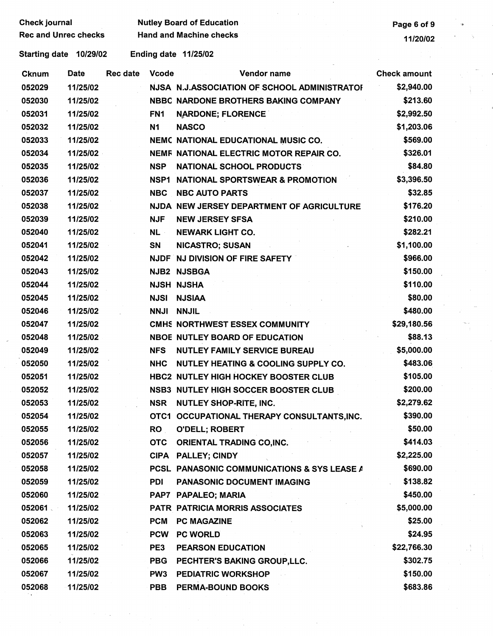| <b>Check journal</b>        | <b>Nutley Board of Education</b> |  | Page 6 of 9 |
|-----------------------------|----------------------------------|--|-------------|
| <b>Rec and Unrec checks</b> | <b>Hand and Machine checks</b>   |  | 11/20/02    |

 $\frac{1}{2}$ 

| <b>Cknum</b> | <b>Date</b> | Rec date | <b>Vcode</b>    | Vendor name                                  | <b>Check amount</b> |
|--------------|-------------|----------|-----------------|----------------------------------------------|---------------------|
| 052029       | 11/25/02    |          |                 | NJSA N.J.ASSOCIATION OF SCHOOL ADMINISTRATOR | \$2,940.00          |
| 052030       | 11/25/02    |          |                 | NBBC NARDONE BROTHERS BAKING COMPANY         | \$213.60            |
| 052031       | 11/25/02    |          | FN <sub>1</sub> | <b>NARDONE; FLORENCE</b>                     | \$2,992.50          |
| 052032       | 11/25/02    |          | N1              | <b>NASCO</b>                                 | \$1,203.06          |
| 052033       | 11/25/02    |          |                 | NEMC NATIONAL EDUCATIONAL MUSIC CO.          | \$569.00            |
| 052034       | 11/25/02    |          |                 | NEMF NATIONAL ELECTRIC MOTOR REPAIR CO.      | \$326.01            |
| 052035       | 11/25/02    |          | <b>NSP</b>      | <b>NATIONAL SCHOOL PRODUCTS</b>              | \$84.80             |
| 052036       | 11/25/02    |          | NSP1            | <b>NATIONAL SPORTSWEAR &amp; PROMOTION</b>   | \$3,396.50          |
| 052037       | 11/25/02    |          | <b>NBC</b>      | <b>NBC AUTO PARTS</b>                        | \$32.85             |
| 052038       | 11/25/02    |          |                 | NJDA NEW JERSEY DEPARTMENT OF AGRICULTURE    | \$176.20            |
| 052039       | 11/25/02    |          | <b>NJF</b>      | <b>NEW JERSEY SFSA</b>                       | \$210.00            |
| 052040       | 11/25/02    |          | NL ·            | <b>NEWARK LIGHT CO.</b>                      | \$282.21            |
| 052041       | 11/25/02    |          | SN              | <b>NICASTRO; SUSAN</b>                       | \$1,100.00          |
| 052042       | 11/25/02    |          |                 | NJDF NJ DIVISION OF FIRE SAFETY              | \$966.00            |
| 052043       | 11/25/02    |          |                 | NJB2 NJSBGA                                  | \$150.00            |
| 052044       | 11/25/02    |          |                 | <b>NJSH NJSHA</b>                            | \$110.00            |
| 052045       | 11/25/02    |          | <b>NJSI</b>     | <b>NJSIAA</b>                                | \$80.00             |
| 052046       | 11/25/02    |          | <b>NNJI</b>     | <b>NNJIL</b>                                 | \$480.00            |
| 052047       | 11/25/02    |          |                 | CMHS NORTHWEST ESSEX COMMUNITY               | \$29,180.56         |
| 052048       | 11/25/02    |          |                 | <b>NBOE NUTLEY BOARD OF EDUCATION</b>        | \$88.13             |
| 052049       | 11/25/02    |          | <b>NFS</b>      | <b>NUTLEY FAMILY SERVICE BUREAU</b>          | \$5,000.00          |
| 052050       | 11/25/02    |          | <b>NHC</b>      | NUTLEY HEATING & COOLING SUPPLY CO.          | \$483.06            |
| 052051       | 11/25/02    |          |                 | HBC2 NUTLEY HIGH HOCKEY BOOSTER CLUB         | \$105.00            |
| 052052       | 11/25/02    |          |                 | <b>NSB3 NUTLEY HIGH SOCCER BOOSTER CLUB</b>  | \$200.00            |
| 052053       | 11/25/02    |          | <b>NSR</b>      | NUTLEY SHOP-RITE, INC.                       | \$2,279.62          |
| 052054       | 11/25/02    |          |                 | OTC1 OCCUPATIONAL THERAPY CONSULTANTS, INC.  | \$390.00            |
| 052055       | 11/25/02    |          | <b>RO</b>       | <b>O'DELL; ROBERT</b>                        | \$50.00             |
| 052056       | 11/25/02    |          | <b>OTC</b>      | ORIENTAL TRADING CO, INC.                    | \$414.03            |
| 052057       | 11/25/02    |          |                 | CIPA PALLEY; CINDY                           | \$2,225.00          |
| 052058       | 11/25/02    |          |                 | PCSL PANASONIC COMMUNICATIONS & SYS LEASE A  | \$690.00            |
| 052059       | 11/25/02    |          | <b>PDI</b>      | PANASONIC DOCUMENT IMAGING                   | \$138.82            |
| 052060       | 11/25/02    |          |                 | PAP7 PAPALEO; MARIA                          | \$450.00            |
| 052061       | 11/25/02    |          |                 | PATR PATRICIA MORRIS ASSOCIATES              | \$5,000.00          |
| 052062       | 11/25/02    |          | <b>PCM</b>      | <b>PC MAGAZINE</b>                           | \$25.00             |
| 052063       | 11/25/02    |          | PCW             | <b>PC WORLD</b>                              | \$24.95             |
| 052065       | 11/25/02    |          | PE3             | <b>PEARSON EDUCATION</b>                     | \$22,766.30         |
| 052066       | 11/25/02    |          | <b>PBG</b>      | PECHTER'S BAKING GROUP, LLC.                 | \$302.75            |
| 052067       | 11/25/02    |          | PW <sub>3</sub> | <b>PEDIATRIC WORKSHOP</b>                    | \$150.00            |
| 052068       | 11/25/02    |          | <b>PBB</b>      | <b>PERMA-BOUND BOOKS</b>                     | \$683.86            |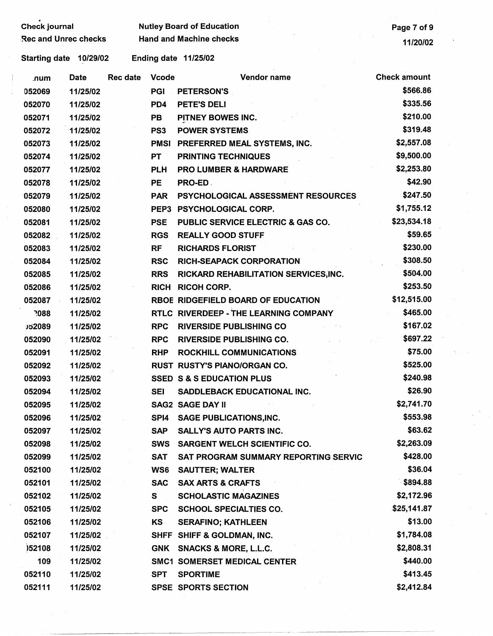| Check journal               |          |                 |                  | <b>Nutley Board of Education</b>             | Page 7 of 9         |  |
|-----------------------------|----------|-----------------|------------------|----------------------------------------------|---------------------|--|
| <b>Rec and Unrec checks</b> |          |                 |                  | <b>Hand and Machine checks</b>               | 11/20/02            |  |
| Starting date               | 10/29/02 |                 |                  | Ending date 11/25/02                         |                     |  |
| .num                        | Date     | <b>Rec date</b> | <b>Vcode</b>     | <b>Vendor name</b>                           | <b>Check amount</b> |  |
| 052069                      | 11/25/02 |                 | PGI              | <b>PETERSON'S</b>                            | \$566.86            |  |
| 052070                      | 11/25/02 |                 | PD4              | PETE'S DELI                                  | \$335.56            |  |
| 052071                      | 11/25/02 |                 | <b>PB</b>        | PITNEY BOWES INC.                            | \$210.00            |  |
| 052072                      | 11/25/02 |                 | PS <sub>3</sub>  | <b>POWER SYSTEMS</b>                         | \$319.48            |  |
| 052073                      | 11/25/02 |                 | <b>PMSI</b>      | <b>PREFERRED MEAL SYSTEMS, INC.</b>          | \$2,557.08          |  |
| 052074                      | 11/25/02 |                 | <b>PT</b>        | <b>PRINTING TECHNIQUES</b>                   | \$9,500.00          |  |
| 052077                      | 11/25/02 |                 | <b>PLH</b>       | <b>PRO LUMBER &amp; HARDWARE</b>             | \$2,253.80          |  |
| 052078                      | 11/25/02 |                 | <b>PE</b>        | PRO-ED.                                      | \$42.90             |  |
| 052079                      | 11/25/02 |                 | <b>PAR</b>       | PSYCHOLOGICAL ASSESSMENT RESOURCES           | \$247.50            |  |
| 052080                      | 11/25/02 |                 | PEP <sub>3</sub> | <b>PSYCHOLOGICAL CORP.</b>                   | \$1,755.12          |  |
| 052081                      | 11/25/02 |                 | <b>PSE</b>       | <b>PUBLIC SERVICE ELECTRIC &amp; GAS CO.</b> | \$23,534.18         |  |
| 052082                      | 11/25/02 |                 | <b>RGS</b>       | <b>REALLY GOOD STUFF</b>                     | \$59.65             |  |
| 052083                      | 11/25/02 |                 | <b>RF</b>        | <b>RICHARDS FLORIST</b>                      | \$230.00            |  |
| 052084                      | 11/25/02 |                 | <b>RSC</b>       | <b>RICH-SEAPACK CORPORATION</b>              | \$308.50            |  |
| 052085                      | 11/25/02 |                 | <b>RRS</b>       | RICKARD REHABILITATION SERVICES, INC.        | \$504.00            |  |
| 052086                      | 11/25/02 |                 | <b>RICH</b>      | <b>RICOH CORP.</b>                           | \$253.50            |  |
| 052087                      | 11/25/02 |                 |                  | <b>RBOE RIDGEFIELD BOARD OF EDUCATION</b>    | \$12,515.00         |  |
| 7088                        | 11/25/02 |                 |                  | RTLC RIVERDEEP - THE LEARNING COMPANY        | \$465.00            |  |
| J52089                      | 11/25/02 |                 | <b>RPC</b>       | <b>RIVERSIDE PUBLISHING CO</b>               | \$167.02            |  |
| 052090                      | 11/25/02 |                 | <b>RPC</b>       | <b>RIVERSIDE PUBLISHING CO.</b>              | \$697.22            |  |
| 052091                      | 11/25/02 |                 | <b>RHP</b>       | ROCKHILL COMMUNICATIONS                      | \$75.00             |  |
| 052092                      | 11/25/02 |                 |                  | RUST RUSTY'S PIANO/ORGAN CO.                 | \$525.00            |  |
| 052093                      | 11/25/02 |                 |                  | <b>SSED S &amp; S EDUCATION PLUS</b>         | \$240.98            |  |
| 052094                      | 11/25/02 |                 | <b>SEI</b>       | <b>SADDLEBACK EDUCATIONAL INC.</b>           | \$26.90             |  |
| 052095                      | 11/25/02 |                 |                  | <b>SAG2 SAGE DAY II</b>                      | \$2,741.70          |  |
| 052096                      | 11/25/02 |                 | SP <sub>14</sub> | <b>SAGE PUBLICATIONS, INC.</b>               | \$553.98            |  |
| 052097                      | 11/25/02 |                 | <b>SAP</b>       | <b>SALLY'S AUTO PARTS INC.</b>               | \$63.62             |  |
| 052098                      | 11/25/02 |                 | <b>SWS</b>       | <b>SARGENT WELCH SCIENTIFIC CO.</b>          | \$2,263.09          |  |
| 052099                      | 11/25/02 |                 | <b>SAT</b>       | <b>SAT PROGRAM SUMMARY REPORTING SERVIC</b>  | \$428.00            |  |
| 052100                      | 11/25/02 |                 | WS6              | <b>SAUTTER; WALTER</b>                       | \$36.04             |  |
| 052101                      | 11/25/02 |                 | <b>SAC</b>       | <b>SAX ARTS &amp; CRAFTS</b>                 | \$894.88            |  |
| 052102                      | 11/25/02 |                 | S                | <b>SCHOLASTIC MAGAZINES</b>                  | \$2,172.96          |  |
| 052105                      | 11/25/02 |                 | <b>SPC</b>       | <b>SCHOOL SPECIALTIES CO.</b>                | \$25,141.87         |  |
| 052106                      | 11/25/02 |                 | KS.              | <b>SERAFINO; KATHLEEN</b>                    | \$13.00             |  |
| 052107                      | 11/25/02 |                 |                  | SHFF SHIFF & GOLDMAN, INC.                   | \$1,784.08          |  |
| )52108                      | 11/25/02 |                 |                  | GNK SNACKS & MORE, L.L.C.                    | \$2,808.31          |  |
| 109                         | 11/25/02 |                 |                  | <b>SMC1 SOMERSET MEDICAL CENTER</b>          | \$440.00            |  |
| 052110                      | 11/25/02 |                 | <b>SPT</b>       | <b>SPORTIME</b>                              | \$413.45            |  |
| 052111                      | 11/25/02 |                 |                  | <b>SPSE SPORTS SECTION</b>                   | \$2,412.84          |  |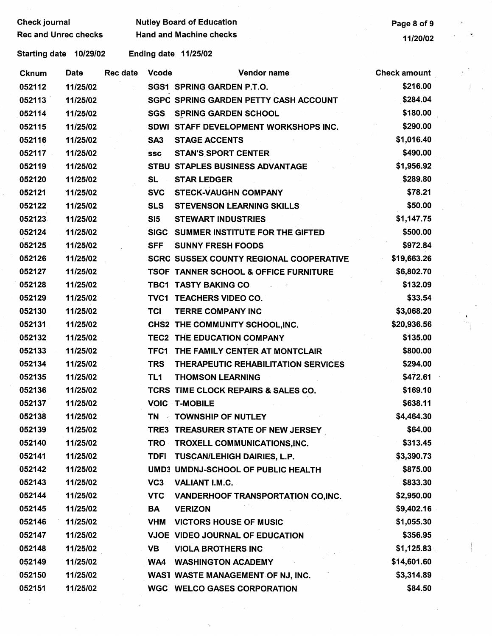| <b>Check journal</b>        | <b>Nutley Board of Education</b> | Page 8 of 9 |
|-----------------------------|----------------------------------|-------------|
| <b>Rec and Unrec checks</b> | <b>Hand and Machine checks</b>   | 11/20/02    |

**Nutley Board of Education Page 8 of 9 ·· Page 8 of 9** 

| <b>Cknum</b> | <b>Date</b> | Rec date | <b>Vcode</b>        | Vendor name                                      | <b>Check amount</b> |
|--------------|-------------|----------|---------------------|--------------------------------------------------|---------------------|
| 052112       | 11/25/02    |          |                     | SGS1 SPRING GARDEN P.T.O.                        | \$216.00            |
| 052113       | 11/25/02    |          |                     | <b>SGPC SPRING GARDEN PETTY CASH ACCOUNT</b>     | \$284.04            |
| 052114       | 11/25/02    |          | <b>SGS</b>          | <b>SPRING GARDEN SCHOOL</b>                      | \$180.00            |
| 052115       | 11/25/02    |          |                     | SDWI STAFF DEVELOPMENT WORKSHOPS INC.            | \$290.00            |
| 052116       | 11/25/02    |          | SA <sub>3</sub>     | <b>STAGE ACCENTS</b>                             | \$1,016.40          |
| 052117       | 11/25/02    |          | <b>SSC</b>          | <b>STAN'S SPORT CENTER</b>                       | \$490.00            |
| 052119       | 11/25/02    |          |                     | STBU STAPLES BUSINESS ADVANTAGE                  | \$1,956.92          |
| 052120       | 11/25/02    |          | <b>SL</b>           | <b>STAR LEDGER</b>                               | \$289.80            |
| 052121       | 11/25/02    |          | <b>SVC</b>          | <b>STECK-VAUGHN COMPANY</b>                      | \$78.21             |
| 052122       | 11/25/02    |          | <b>SLS</b>          | <b>STEVENSON LEARNING SKILLS</b>                 | \$50.00             |
| 052123       | 11/25/02    |          | SI5                 | <b>STEWART INDUSTRIES</b>                        | \$1,147.75          |
| 052124       | 11/25/02    |          | <b>SIGC</b>         | SUMMER INSTITUTE FOR THE GIFTED                  | \$500.00            |
| 052125       | 11/25/02    |          | <b>SFF</b>          | <b>SUNNY FRESH FOODS</b>                         | \$972.84            |
| 052126       | 11/25/02    |          |                     | <b>SCRC SUSSEX COUNTY REGIONAL COOPERATIVE</b>   | \$19,663.26         |
| 052127       | 11/25/02    |          |                     | <b>TSOF TANNER SCHOOL &amp; OFFICE FURNITURE</b> | \$6,802.70          |
| 052128       | 11/25/02    |          |                     | <b>TBC1 TASTY BAKING CO</b>                      | \$132.09            |
| 052129       | 11/25/02    |          |                     | TVC1 TEACHERS VIDEO CO.                          | \$33.54             |
| 052130       | 11/25/02    |          | TCI                 | <b>TERRE COMPANY INC</b>                         | \$3,068.20          |
| 052131       | 11/25/02    |          |                     | CHS2 THE COMMUNITY SCHOOL, INC.                  | \$20,936.56         |
| 052132       | 11/25/02    |          |                     | TEC2 THE EDUCATION COMPANY                       | \$135.00            |
| 052133       | 11/25/02    |          |                     | TFC1 THE FAMILY CENTER AT MONTCLAIR              | \$800.00            |
| 052134       | 11/25/02    |          | <b>TRS</b>          | THERAPEUTIC REHABILITATION SERVICES              | \$294.00            |
| 052135       | 11/25/02    |          | TL <sub>1</sub>     | <b>THOMSON LEARNING</b>                          | \$472.61            |
| 052136       | 11/25/02    |          |                     | TCRS TIME CLOCK REPAIRS & SALES CO.              | \$169.10            |
| 052137       | 11/25/02    |          |                     | <b>VOIC T-MOBILE</b>                             | \$638.11            |
| 052138       | 11/25/02    |          | <b>TN</b><br>$\sim$ | <b>TOWNSHIP OF NUTLEY</b>                        | \$4,464.30          |
| 052139       | 11/25/02    |          |                     | TRE3 TREASURER STATE OF NEW JERSEY               | \$64.00             |
| 052140       | 11/25/02    |          | <b>TRO</b>          | TROXELL COMMUNICATIONS, INC.                     | \$313.45            |
| 052141       | 11/25/02    |          | <b>TDFI</b>         | TUSCAN/LEHIGH DAIRIES, L.P.                      | \$3,390.73          |
| 052142       | 11/25/02    |          |                     | UMD3 UMDNJ-SCHOOL OF PUBLIC HEALTH               | \$875.00            |
| 052143       | 11/25/02    |          | VC <sub>3</sub>     | VALIANT I.M.C.                                   | \$833.30            |
| 052144       | 11/25/02    |          | <b>VTC</b>          | VANDERHOOF TRANSPORTATION CO, INC.               | \$2,950.00          |
| 052145       | 11/25/02    |          | BA                  | <b>VERIZON</b>                                   | \$9,402.16          |
| 052146       | 11/25/02    |          | <b>VHM</b>          | <b>VICTORS HOUSE OF MUSIC</b>                    | \$1,055.30          |
| 052147       | 11/25/02    |          |                     | <b>VJOE VIDEO JOURNAL OF EDUCATION</b>           | \$356.95            |
| 052148       | 11/25/02    |          | <b>VB</b>           | <b>VIOLA BROTHERS INC</b>                        | \$1,125.83          |
| 052149       | 11/25/02    |          | WA4                 | <b>WASHINGTON ACADEMY</b>                        | \$14,601.60         |
| 052150       | 11/25/02    |          |                     | WAST WASTE MANAGEMENT OF NJ, INC.                | \$3,314.89          |
| 052151       | 11/25/02    |          |                     | <b>WGC WELCO GASES CORPORATION</b>               | \$84.50             |